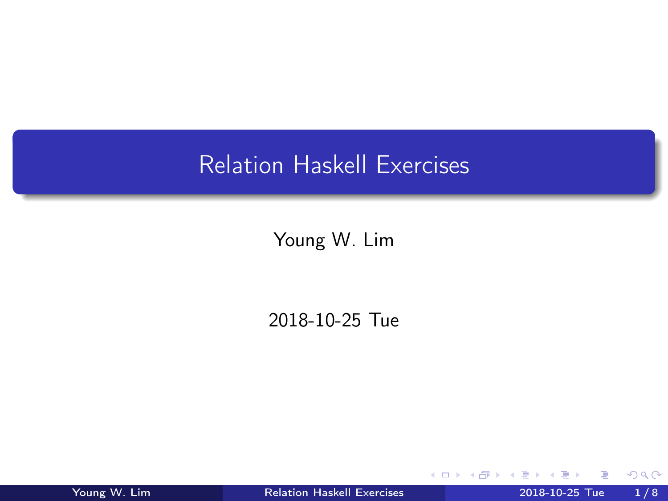## <span id="page-0-0"></span>Relation Haskell Exercises

Young W. Lim

2018-10-25 Tue

4 D F

**Dollar** 

Young W. Lim [Relation Haskell Exercises](#page-7-0) 2018-10-25 Tue 1/8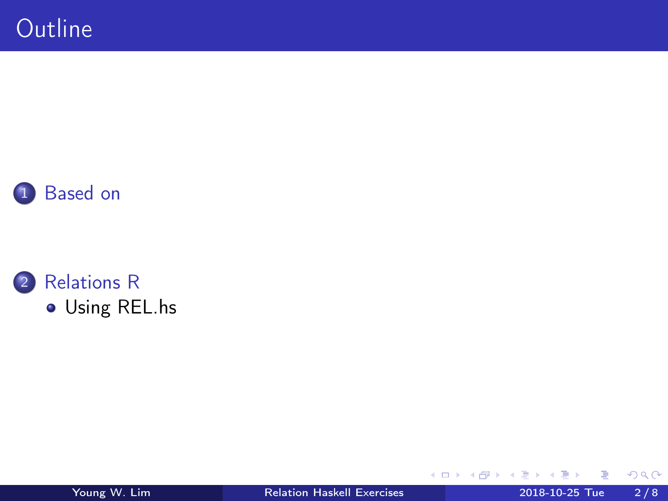



[Using REL.hs](#page-3-0)

Young W. Lim [Relation Haskell Exercises](#page-0-0) 2018-10-25 Tue 2 / 8

B

**K ロ ト K 伊 ト K** 

∍  $\mathbf{b}$ a. ъ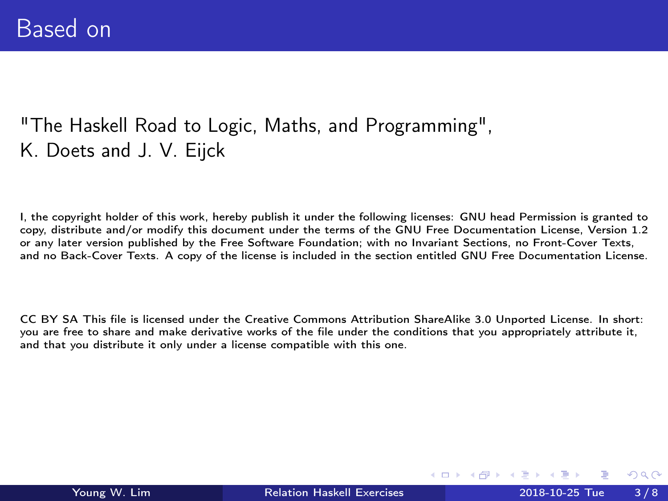## <span id="page-2-0"></span>"The Haskell Road to Logic, Maths, and Programming", K. Doets and J. V. Eijck

I, the copyright holder of this work, hereby publish it under the following licenses: GNU head Permission is granted to copy, distribute and/or modify this document under the terms of the GNU Free Documentation License, Version 1.2 or any later version published by the Free Software Foundation; with no Invariant Sections, no Front-Cover Texts, and no Back-Cover Texts. A copy of the license is included in the section entitled GNU Free Documentation License.

CC BY SA This file is licensed under the Creative Commons Attribution ShareAlike 3.0 Unported License. In short: you are free to share and make derivative works of the file under the conditions that you appropriately attribute it, and that you distribute it only under a license compatible with this one.

( □ ) ( <sub>□</sub> ) (

 $\Omega$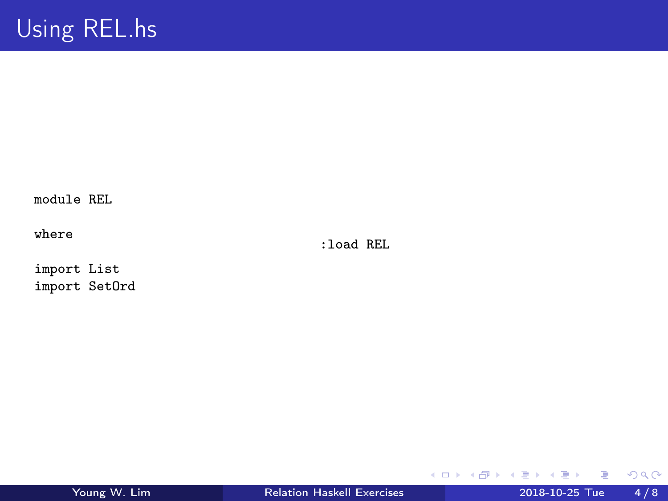<span id="page-3-0"></span>module REL

where

:load REL

import List import SetOrd

重

 $299$ 

イロト イ部 トメ ヨ トメ ヨト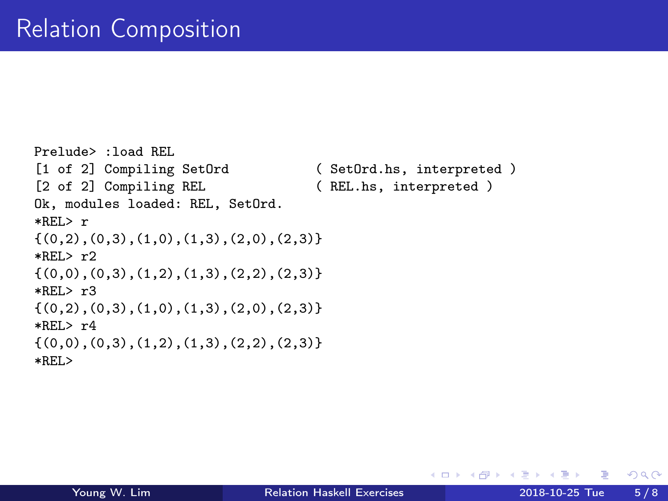```
Prelude> :load REL
[1 of 2] Compiling SetOrd ( SetOrd.hs, interpreted )<br>[2 of 2] Compiling REL ( REL.hs, interpreted )
                                         (REL.hs, interpreted)
Ok, modules loaded: REL, SetOrd.
*REL> r
\{(0,2),(0,3),(1,0),(1,3),(2,0),(2,3)\}*REL> r2\{(0,0),(0,3),(1,2),(1,3),(2,2),(2,3)\}\*REL> r3\{(0,2),(0,3),(1,0),(1,3),(2,0),(2,3)\}*REL> r4\{(0,0),(0,3),(1,2),(1,3),(2,2),(2,3)\}*REL>
```
イロト イ押 トイヨ トイヨ

 $QQ$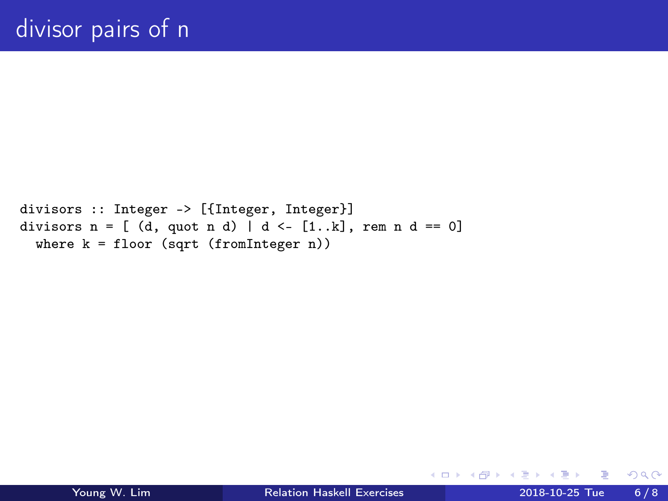```
divisors :: Integer -> [{Integer, Integer}]
divisors n = [ (d, quct n d) | d \leftarrow [1..k], rem n d == 0]
  where k = floor (sqrt (fromInteger n))
```
**母 ト ィヨ ト ィヨ** 

4 D F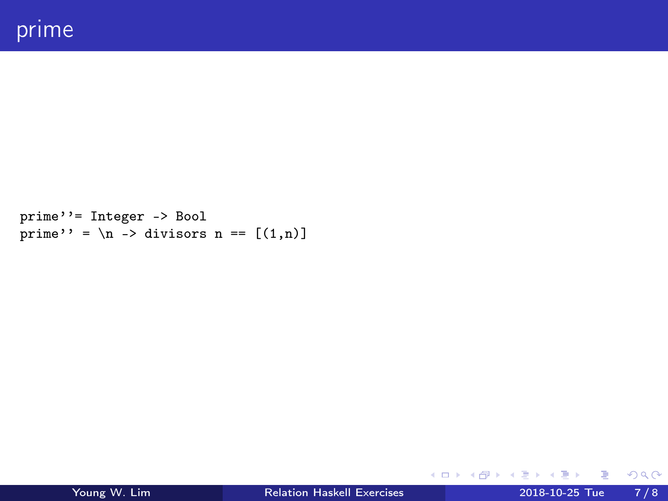```
prime''= Integer -> Bool
prime'' = \n\lambda -> divisors n == [(1,n)]
```
 $\Omega$ 

メロト メタト メミト メミト